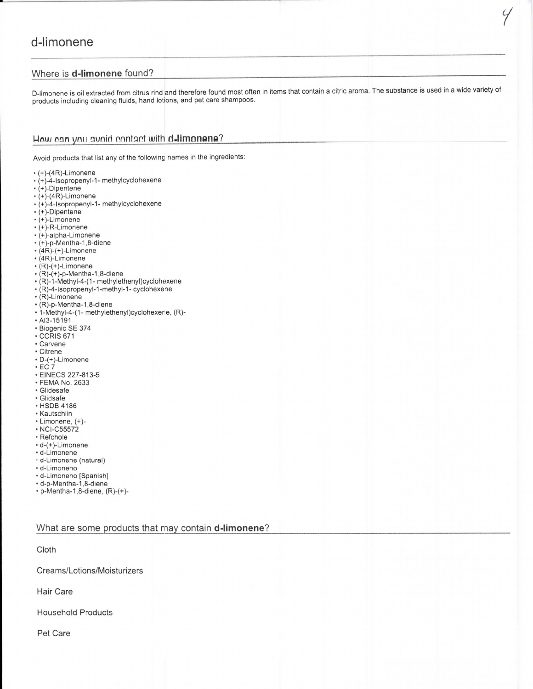## d-limonene

## Where is d-limonene found?

D-limonene is oil extracted from citrus rind and therefore found most often in items that contain a citric aroma. The substance is used in a wide variety of products including cleaning fluids, hand lotions, and pet care shampoos.

4

## How can you avoid contact with d-limonene?

Avoid products that list any of the following names in the ingredients:

- $*(+)-(4R)-Limonene$
- (+)-4-Isopropenyl-1- methylcyclohexene
- $\cdot$  (+)-Dipentene
- $\cdot$  (+)-(4R)-Limonene
- (+)-4-Isopropenyl-1- methylcyclohexene
- $\cdot$  (+)-Dipentene
- (+)-Limonene
- $*(+)$ -R-Limonene
- (+)-alpha-Limonene
- $\cdot$  (+)-p-Mentha-1,8-diene  $*(4R)-(+)$ -Limonene
- $*(4R)$ -Limonene
- 
- $\cdot$  (R)-(+)-Limonene  $\cdot$  (R)-(+)-p-Mentha-1,8-diene
- (R)-1-Methyl-4-(1- methylethenyl)cyclohexene
- (R)-4-Isopropenyl-1-methyl-1- cyclohexene
- $\cdot$  (R)-Limonene
- (R)-p-Mentha-1,8-diene
- 1-Methyl-4-(1- methylethenyl)cyclohexerie, (R)-
- $. A13 15191$
- · Biogenic SE 374
- $\cdot$  CCRIS 671
- Carvene
- Citrene
- D-(+)-Limonene
- $\cdot$  EC 7
- EINECS 227-813-5
- FEMA No. 2633 · Glidesafe
- · Glidsafe
- HSDB 4186
- Kautschiin
- Limonene, (+)-
- NCI-C55572
- Refchole
- d-(+)-Limonene
- d-Limonene
- d-Limonene (natural)
- d-Limoneno
- d-Limoneno [Spanish]
- · d-p-Mentha-1,8-diene
- p-Mentha-1,8-diene, (R)-(+)-

What are some products that may contain **d-limonene**?

Cloth

Creams/Lotions/Moisturizers

**Hair Care** 

**Household Products** 

Pet Care